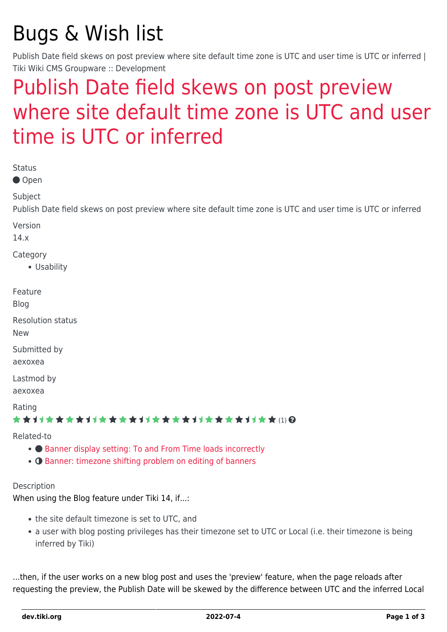# Bugs & Wish list

Publish Date field skews on post preview where site default time zone is UTC and user time is UTC or inferred | Tiki Wiki CMS Groupware :: Development

## [Publish Date field skews on post preview](https://dev.tiki.org/item5737-Publish-Date-field-skews-on-post-preview-where-site-default-time-zone-is-UTC-and-user-time-is-UTC-or-inferred) [where site default time zone is UTC and user](https://dev.tiki.org/item5737-Publish-Date-field-skews-on-post-preview-where-site-default-time-zone-is-UTC-and-user-time-is-UTC-or-inferred) [time is UTC or inferred](https://dev.tiki.org/item5737-Publish-Date-field-skews-on-post-preview-where-site-default-time-zone-is-UTC-and-user-time-is-UTC-or-inferred)

| <b>Status</b>                                                                                                                             |
|-------------------------------------------------------------------------------------------------------------------------------------------|
| ● Open                                                                                                                                    |
| Subject<br>Publish Date field skews on post preview where site default time zone is UTC and user time is UTC or inferred                  |
| Version<br>14.x                                                                                                                           |
| Category<br>• Usability                                                                                                                   |
| Feature<br><b>Blog</b>                                                                                                                    |
| <b>Resolution status</b><br><b>New</b>                                                                                                    |
| Submitted by<br>aexoxea                                                                                                                   |
| Lastmod by<br>aexoxea                                                                                                                     |
| Rating<br>★★オオ★★★★オオ★★★★オオ★★★★オオ★★★★#J★★(1)@                                                                                              |
| Related-to<br>• Banner display setting: To and From Time loads incorrectly<br>• O Banner: timezone shifting problem on editing of banners |
|                                                                                                                                           |

Description

When using the Blog feature under Tiki 14, if...:

- the site default timezone is set to UTC, and
- a user with blog posting privileges has their timezone set to UTC or Local (i.e. their timezone is being inferred by Tiki)

...then, if the user works on a new blog post and uses the 'preview' feature, when the page reloads after requesting the preview, the Publish Date will be skewed by the difference between UTC and the inferred Local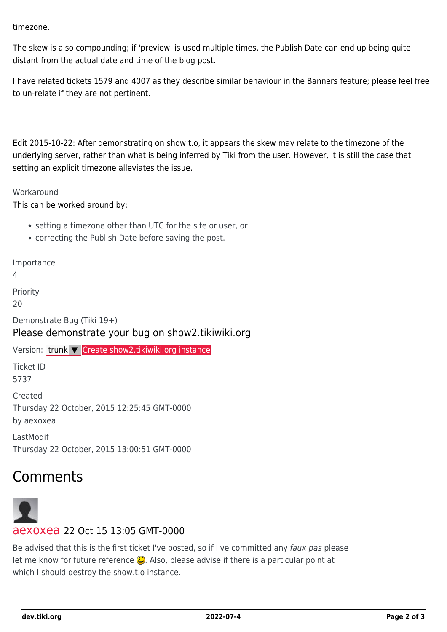timezone.

The skew is also compounding; if 'preview' is used multiple times, the Publish Date can end up being quite distant from the actual date and time of the blog post.

I have related tickets 1579 and 4007 as they describe similar behaviour in the Banners feature; please feel free to un-relate if they are not pertinent.

Edit 2015-10-22: After demonstrating on show.t.o, it appears the skew may relate to the timezone of the underlying server, rather than what is being inferred by Tiki from the user. However, it is still the case that setting an explicit timezone alleviates the issue.

#### **Workaround**

This can be worked around by:

- setting a timezone other than UTC for the site or user, or
- correcting the Publish Date before saving the post.

Importance

4

Priority

 $20$ 

Demonstrate Bug (Tiki 19+) Please demonstrate your bug on show2.tikiwiki.org

Version: trunk ▼ [Create show2.tikiwiki.org instance](#page--1-0)

Ticket ID 5737

Created Thursday 22 October, 2015 12:25:45 GMT-0000 by aexoxea

LastModif Thursday 22 October, 2015 13:00:51 GMT-0000

### Comments



#### [aexoxea](https://dev.tiki.org/user11780) 22 Oct 15 13:05 GMT-0000

Be advised that this is the first ticket I've posted, so if I've committed any faux pas please let me know for future reference  $\ddot{\mathbf{Q}}$ . Also, please advise if there is a particular point at which I should destroy the show.t.o instance.